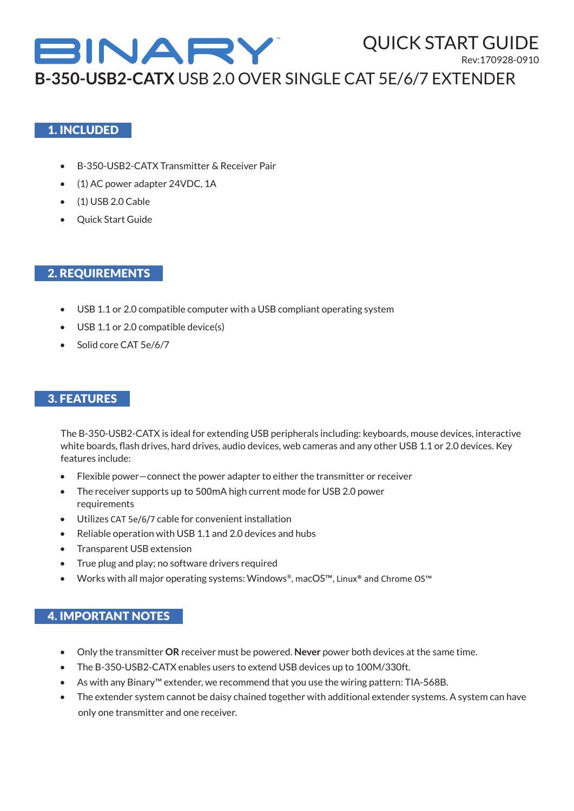

Rev:170928-0910

QUICK START GUIDE

**B-350-USB2-CATX** USB 2.0 OVER SINGLE CAT 5E/6/7 EXTENDER

### 1. INCLUDED

- B-350-USB2-CATX Transmitter & Receiver Pair
- (1) AC power adapter 24VDC, 1A
- (1) USB 2.0 Cable
- Quick Start Guide

## 2. REQUIREMENTS

- USB 1.1 or 2.0 compatible computer with a USB compliant operating system
- USB 1.1 or 2.0 compatible device(s)
- Solid core CAT 5e/6/7

## 3. FEATURES

The B-350-USB2-CATX is ideal for extending USB peripherals including: keyboards, mouse devices, interactive white boards, flash drives, hard drives, audio devices, web cameras and any other USB 1.1 or 2.0 devices. Key features include:

- Flexible power—connect the power adapter to either the transmitter or receiver
- The receiver supports up to 500mA high current mode for USB 2.0 power requirements
- Utilizes CAT 5e/6/7 cable for convenient installation
- Reliable operation with USB 1.1 and 2.0 devices and hubs
- Transparent USB extension
- True plug and play; no software drivers required
- Works with all major operating systems: Windows®, macOS™, Linux® and Chrome OS™

### 4. IMPORTANT NOTES

- Only the transmitter **OR** receiver must be powered. **Never** power both devices at the same time.
- The B-350-USB2-CATX enables users to extend USB devices up to 100M/330ft.
- As with any Binary™ extender, we recommend that you use the wiring pattern: TIA-568B.
- The extender system cannot be daisy chained together with additional extender systems. A system can have only one transmitter and one receiver.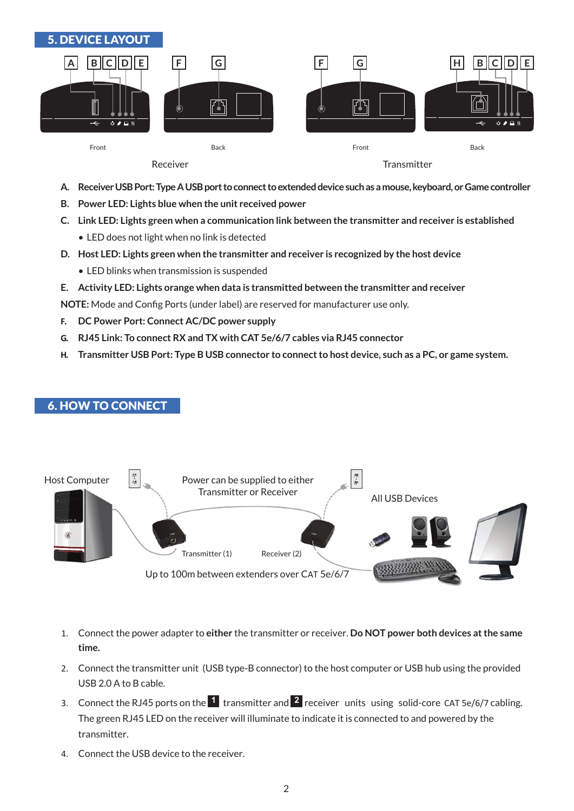

- **A. Receiver USB Port: Type A USB port to connect to extended device such as a mouse, keyboard, or Game controller**
- **B. Power LED: Lights blue when the unit received power**
- **C. Link LED: Lights green when a communication link between the transmitter and receiver is established**
	- LED does not light when no link is detected
- **D. Host LED: Lights green when the transmitter and receiver is recognized by the host device**
	- LED blinks when transmission is suspended
- **E. Activity LED: Lights orange when data is transmitted between the transmitter and receiver**

**NOTE:** Mode and Config Ports (under label) are reserved for manufacturer use only.

- **F. DC Power Port: Connect AC/DC power supply**
- **G. RJ45 Link: To connect RX and TX with CAT 5e/6/7 cables via RJ45 connector**
- **H. Transmitter USB Port: Type B USB connector to connect to host device, such as a PC, or game system.**

## 6. HOW TO CONNECT



- 1. Connect the power adapter to **either** the transmitter or receiver. **Do NOT power both devices at the same time.**
- 2. Connect the transmitter unit (USB type-B connector) to the host computer or USB hub using the provided USB 2.0 A to B cable.
- 3. Connect the RJ45 ports on the **1** transmitter and **2** receiver units using solid-core CAT 5e/6/7 cabling. The green RJ45 LED on the receiver will illuminate to indicate it is connected to and powered by the transmitter.
- 4. Connect the USB device to the receiver.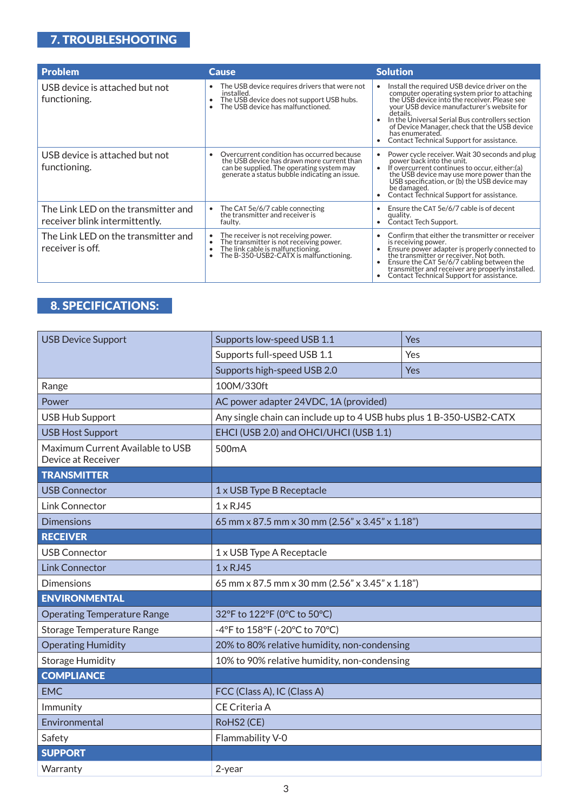# 7. TROUBLESHOOTING

| <b>Problem</b>                                                        | <b>Cause</b>                                                                                                                                                                             | <b>Solution</b>                                                                                                                                                                                                                                                                                                                                                            |
|-----------------------------------------------------------------------|------------------------------------------------------------------------------------------------------------------------------------------------------------------------------------------|----------------------------------------------------------------------------------------------------------------------------------------------------------------------------------------------------------------------------------------------------------------------------------------------------------------------------------------------------------------------------|
| USB device is attached but not<br>functioning.                        | The USB device requires drivers that were not<br>installed.<br>The USB device does not support USB hubs.<br>$\bullet$<br>The USB device has malfunctioned.                               | Install the required USB device driver on the<br>computer operating system prior to attaching<br>the USB device into the receiver. Please see<br>your USB device manufacturer's website for<br>details.<br>In the Universal Serial Bus controllers section<br>of Device Manager, check that the USB device<br>has enumerated.<br>Contact Technical Support for assistance. |
| USB device is attached but not<br>functioning.                        | Overcurrent condition has occurred because<br>the USB device has drawn more current than<br>can be supplied. The operating system may<br>generate a status bubble indicating an issue.   | Power cycle receiver. Wait 30 seconds and plug<br>power back into the unit.<br>If overcurrent continues to occur, either:(a)<br>the USB device may use more power than the<br>USB specification, or (b) the USB device may<br>be damaged.<br>Contact Technical Support for assistance.                                                                                     |
| The Link LED on the transmitter and<br>receiver blink intermittently. | The CAT 5e/6/7 cable connecting<br>the transmitter and receiver is<br>faulty.                                                                                                            | Ensure the CAT 5e/6/7 cable is of decent<br>quality.<br>Contact Tech Support.                                                                                                                                                                                                                                                                                              |
| The Link LED on the transmitter and<br>receiver is off.               | The receiver is not receiving power.<br>The transmitter is not receiving power.<br>The link cable is malfunctioning.<br>$\bullet$<br>$\bullet$<br>The B-350-USB2-CATX is malfunctioning. | Confirm that either the transmitter or receiver<br>is receiving power.<br>Ensure power adapter is properly connected to<br>the transmitter or receiver. Not both.<br>Ensure the CAT 5e/6/7 cabling between the<br>transmitter and receiver are properly installed.<br>Contact Technical Support for assistance.                                                            |

# 8. SPECIFICATIONS:

| <b>USB Device Support</b>                              | Supports low-speed USB 1.1                                           | Yes |  |
|--------------------------------------------------------|----------------------------------------------------------------------|-----|--|
|                                                        | Supports full-speed USB 1.1                                          | Yes |  |
|                                                        | Supports high-speed USB 2.0                                          | Yes |  |
| Range                                                  | 100M/330ft                                                           |     |  |
| Power                                                  | AC power adapter 24VDC, 1A (provided)                                |     |  |
| <b>USB Hub Support</b>                                 | Any single chain can include up to 4 USB hubs plus 1 B-350-USB2-CATX |     |  |
| <b>USB Host Support</b>                                | EHCI (USB 2.0) and OHCI/UHCI (USB 1.1)                               |     |  |
| Maximum Current Available to USB<br>Device at Receiver | 500 <sub>m</sub> A                                                   |     |  |
| <b>TRANSMITTER</b>                                     |                                                                      |     |  |
| <b>USB Connector</b>                                   | 1 x USB Type B Receptacle                                            |     |  |
| <b>Link Connector</b>                                  | $1 \times R$ J45                                                     |     |  |
| <b>Dimensions</b>                                      | 65 mm x 87.5 mm x 30 mm (2.56" x 3.45" x 1.18")                      |     |  |
| <b>RECEIVER</b>                                        |                                                                      |     |  |
| <b>USB Connector</b>                                   | 1 x USB Type A Receptacle                                            |     |  |
| <b>Link Connector</b>                                  | $1 \times R$ J45                                                     |     |  |
| <b>Dimensions</b>                                      | 65 mm x 87.5 mm x 30 mm (2.56" x 3.45" x 1.18")                      |     |  |
| <b>ENVIRONMENTAL</b>                                   |                                                                      |     |  |
| <b>Operating Temperature Range</b>                     | 32°F to 122°F (0°C to 50°C)                                          |     |  |
| Storage Temperature Range                              | -4°F to 158°F (-20°C to 70°C)                                        |     |  |
| <b>Operating Humidity</b>                              | 20% to 80% relative humidity, non-condensing                         |     |  |
| <b>Storage Humidity</b>                                | 10% to 90% relative humidity, non-condensing                         |     |  |
| <b>COMPLIANCE</b>                                      |                                                                      |     |  |
| <b>EMC</b>                                             | FCC (Class A), IC (Class A)                                          |     |  |
| Immunity                                               | CE Criteria A                                                        |     |  |
| Environmental                                          | RoHS2 (CE)                                                           |     |  |
| Safety                                                 | Flammability V-0                                                     |     |  |
| <b>SUPPORT</b>                                         |                                                                      |     |  |
| Warranty                                               | 2-year                                                               |     |  |